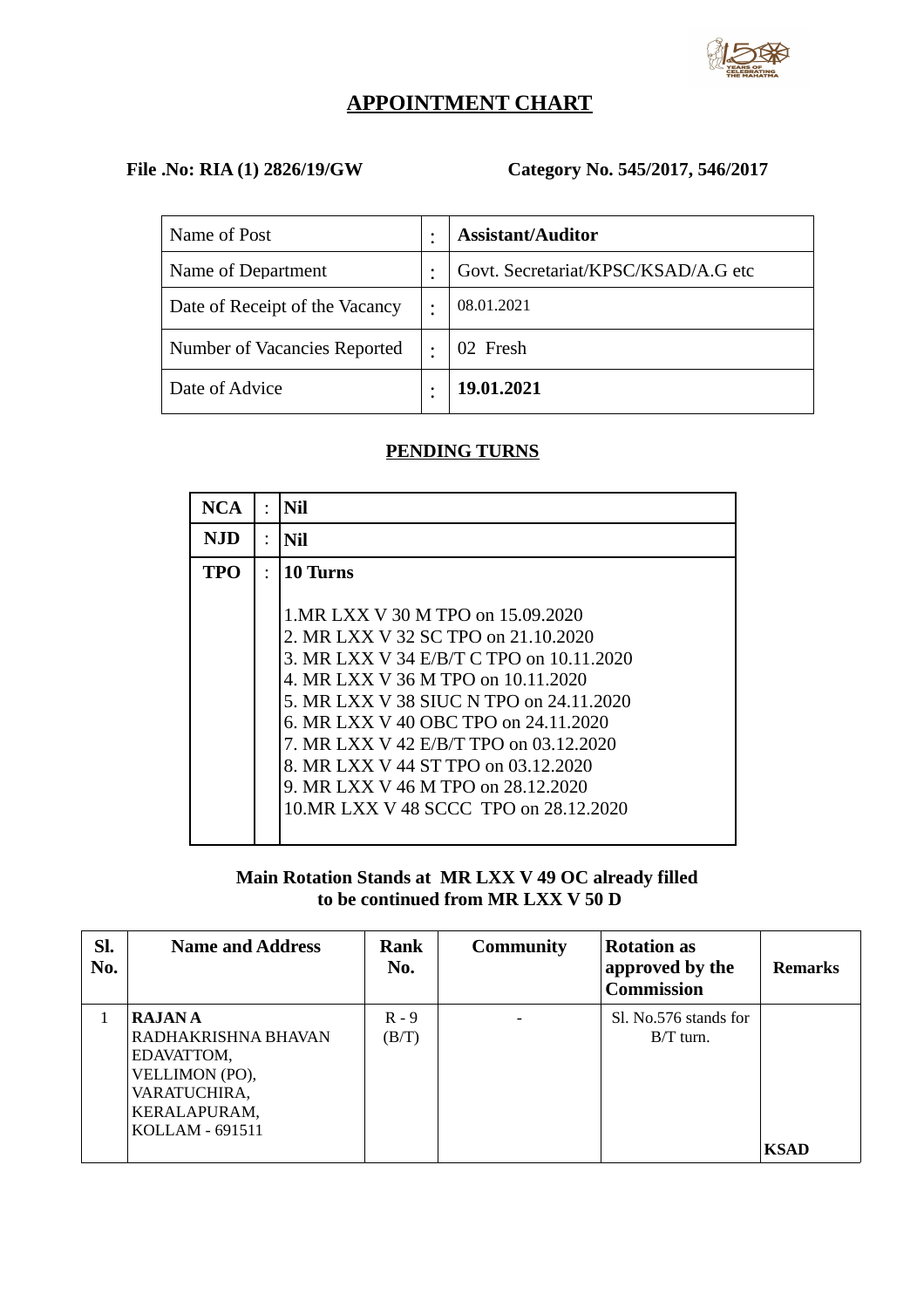

# **APPOINTMENT CHART**

## **File .No: RIA (1) 2826/19/GW Category No. 545/2017, 546/2017**

| Name of Post                   | ٠ | <b>Assistant/Auditor</b>            |
|--------------------------------|---|-------------------------------------|
| Name of Department             | ٠ | Govt. Secretariat/KPSC/KSAD/A.G etc |
| Date of Receipt of the Vacancy | ٠ | 08.01.2021                          |
| Number of Vacancies Reported   | ٠ | 02 Fresh                            |
| Date of Advice                 |   | 19.01.2021                          |

### **PENDING TURNS**

| NCA | Nil                                                                                                                                                                                                                                                                                                                                                                                                             |
|-----|-----------------------------------------------------------------------------------------------------------------------------------------------------------------------------------------------------------------------------------------------------------------------------------------------------------------------------------------------------------------------------------------------------------------|
| NJD | Nil                                                                                                                                                                                                                                                                                                                                                                                                             |
| TPO | 10 Turns                                                                                                                                                                                                                                                                                                                                                                                                        |
|     | 1. MR LXX V 30 M TPO on 15.09.2020<br>2. MR LXX V 32 SC TPO on 21.10.2020<br>3. MR LXX V 34 E/B/T C TPO on 10.11.2020<br>4. MR LXX V 36 M TPO on 10.11.2020<br>5. MR LXX V 38 SIUC N TPO on 24.11.2020<br>6. MR LXX V 40 OBC TPO on 24.11.2020<br>7. MR LXX V 42 E/B/T TPO on 03.12.2020<br>8. MR LXX V 44 ST TPO on 03.12.2020<br>9. MR LXX V 46 M TPO on 28.12.2020<br>10. MR LXX V 48 SCCC TPO on 28.12.2020 |

**Main Rotation Stands at MR LXX V 49 OC already filled to be continued from MR LXX V 50 D**

| Sl.<br>No. | <b>Name and Address</b>                                                                                                 | Rank<br>No.      | <b>Community</b> | <b>Rotation as</b><br>approved by the<br><b>Commission</b> | <b>Remarks</b> |
|------------|-------------------------------------------------------------------------------------------------------------------------|------------------|------------------|------------------------------------------------------------|----------------|
|            | <b>RAJANA</b><br>RADHAKRISHNA BHAVAN<br>EDAVATTOM,<br>VELLIMON (PO),<br>VARATUCHIRA,<br>KERALAPURAM,<br>KOLLAM - 691511 | $R - 9$<br>(B/T) |                  | Sl. No.576 stands for<br>$B/T$ turn.                       | <b>KSAD</b>    |